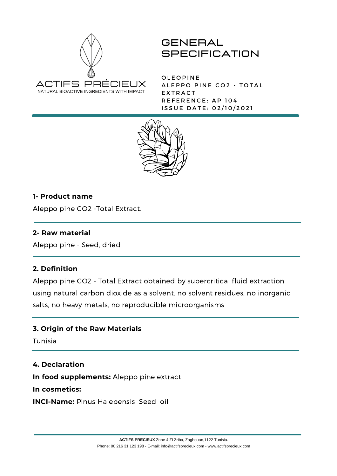

**OLEOPINE** ALEPPO PINE CO2 - TOTAL **EXTRACT** REFERENCE: AP 104 ISSUE DATE: 02/10/2021



## **1- Product name**

Aleppo pine CO2 -Total Extract.

## **2- Raw material**

Aleppo pine - Seed, dried

## **2. Definition**

Aleppo pine CO2 - Total Extract obtained by supercritical fluid extraction using natural carbon dioxide as a solvent. no solvent residues, no inorganic salts, no heavy metals, no reproducible microorganisms

## **3. Origin of the Raw Materials**

Tunisia

#### **4. Declaration**

**In food supplements:** Aleppo pine extract

**In cosmetics:**

**INCI-Name:** Pinus Halepensis Seed oil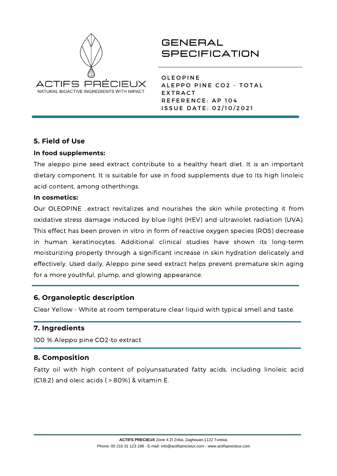

**OLEOPINE** ALEPPO PINE CO2 - TOTAL **EXTRACT** REFERENCE: AP 104 ISSUE DATE: 02/10/2021

## **5. Field of Use**

## **In food supplements:**

The aleppo pine seed extract contribute to a healthy heart diet. It is an important dietary component. It is suitable for use in food supplements due to its high linoleic acid content, among otherthings.

## **In cosmetics:**

Our OLEOPINE ..extract revitalizes and nourishes the skin while protecting it from oxidative stress damage induced by blue light (HEV) and ultraviolet radiation (UVA). This effect has been proven in vitro in form of reactive oxygen species (ROS) decrease in human keratinocytes. Additional clinical studies have shown its long-term moisturizing property through a significant increase in skin hydration delicately and effectively. Used daily, Aleppo pine seed extract helps prevent premature skin aging for a more youthful, plump, and glowing appearance.

## **6. Organoleptic description**

Clear Yellow - White at room temperature clear liquid with typical smell and taste.

## **7. Ingredients**

100 % Aleppo pine CO2-to extract

## **8. Composition**

Fatty oil with high content of polyunsaturated fatty acids, including linoleic acid (C18:2) and oleic acids ( > 80%) & vitamin E.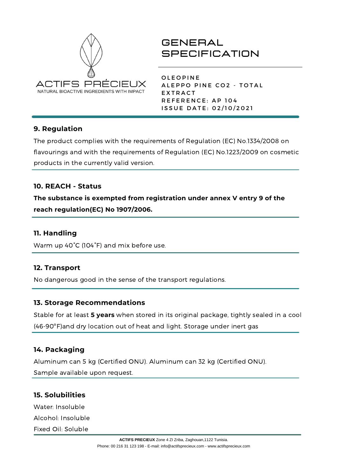

**OLEOPINE** ALEPPO PINE CO2 - TOTAL **EXTRACT** REFERENCE: AP 104 ISSUE DATE: 02/10/2021

## **9. Regulation**

The product complies with the requirements of Regulation (EC) No.1334/2008 on flavourings and with the requirements of Regulation (EC) No.1223/2009 on cosmetic products in the currently valid version.

## **10. REACH - Status**

**The substance is exempted from registration under annex V entry 9 of the reach regulation(EC) No 1907/2006.**

## **11. Handling**

Warm up 40°C (104°F) and mix before use.

## **12. Transport**

No dangerous good in the sense of the transport regulations.

## **13. Storage Recommendations**

Stable for at least **5 years** when stored in its original package, tightly sealed in a cool (46-90ºF)and dry location out of heat and light. Storage under inert gas

## **14. Packaging**

Aluminum can 5 kg (Certified ONU). Aluminum can 32 kg (Certified ONU). Sample available upon request.

## **15. Solubilities**

Water: Insoluble Alcohol: Insoluble Fixed Oil: Soluble